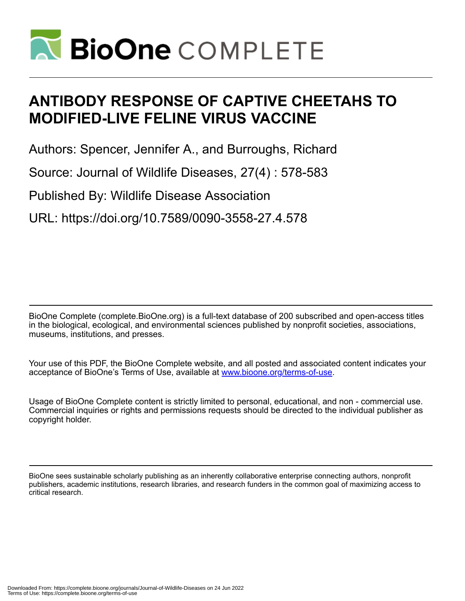

# **ANTIBODY RESPONSE OF CAPTIVE CHEETAHS TO MODIFIED-LIVE FELINE VIRUS VACCINE**

Authors: Spencer, Jennifer A., and Burroughs, Richard

Source: Journal of Wildlife Diseases, 27(4) : 578-583

Published By: Wildlife Disease Association

URL: https://doi.org/10.7589/0090-3558-27.4.578

BioOne Complete (complete.BioOne.org) is a full-text database of 200 subscribed and open-access titles in the biological, ecological, and environmental sciences published by nonprofit societies, associations, museums, institutions, and presses.

Your use of this PDF, the BioOne Complete website, and all posted and associated content indicates your acceptance of BioOne's Terms of Use, available at www.bioone.org/terms-of-use.

Usage of BioOne Complete content is strictly limited to personal, educational, and non - commercial use. Commercial inquiries or rights and permissions requests should be directed to the individual publisher as copyright holder.

BioOne sees sustainable scholarly publishing as an inherently collaborative enterprise connecting authors, nonprofit publishers, academic institutions, research libraries, and research funders in the common goal of maximizing access to critical research.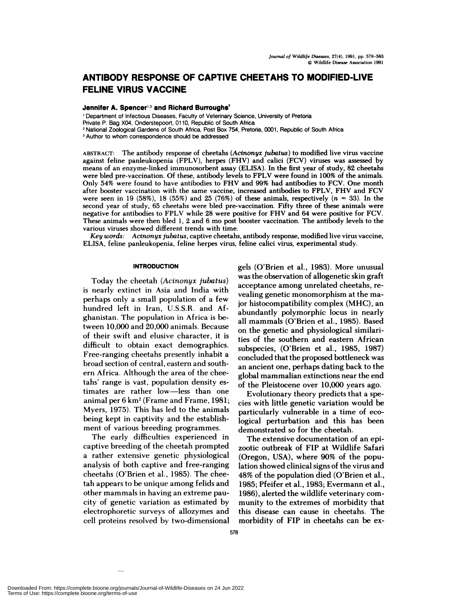# **ANTIBODY RESPONSE OF CAPTIVE CHEETAHS TO MODIFIED-LIVE FELINE VIRUS VACCINE**

# **Jennifer A. Spencer<sup>1,3</sup> and Richard Burroughs<sup>2</sup>**

'Department of Infectious Diseases, Faculty of Veterinary Science, University of Pretoria

Private P. Bag X04, Onderstepoort, 0110, Republic of South Africa

<sup>2</sup> National Zoological Gardens of South Africa, Post Box 754, Pretoria, 0001, Republic of South Africa

<sup>3</sup> Author to whom correspondence should be addressed

**ABSTRACT:** The antibody response of cheetahs *(Acinonyx jubatus)* to modified live virus vaccine against feline panleukopenia (FPLV), herpes (FHV) and calici (FCV) viruses was assessed by means of an enzyme-linked immunosorbent assay (ELISA). In the first year of study, 82 cheetahs were bled pre-vaccination. Of these, antibody levels to FPLV were found in 100% of the animals. Only 54% were found to have antibodies to FHV and 99% had antibodies to FCV. One month after booster vaccination with the same vaccine, increased antibodies to FPLV, FHV and FCV were seen in 19 (58%), 18 (55%) and 25 (76%) of these animals, respectively  $(n = 33)$ . In the second year of study, 65 cheetahs were bled pre-vaccination. Fifty three of these animals were negative for antibodies to FPLV while 28 were positive for FHV and 64 were positive for FCV. These animals were then bled 1, 2 and 6 mo post booster vaccination. The antibody levels to the various viruses showed different trends with time.

*Key words: Acinonyx jubatus,* captive cheetahs, antibody response, modified live virus vaccine, ELISA, feline panleukopenia, feline herpes virus, feline calici virus, experimental study.

# **INTRODUCTION**

Today the cheetah *(Acinonyx jubatus)* is nearly extinct in Asia and India with perhaps only a small population of a few hundred left in Iran, U.S.S.R. and Afghanistan. The population in Africa is between 10,000 and 20,000 animals. Because of their swift and elusive character, it is difficult to obtain exact demographics. Free-ranging cheetahs presently inhabit a broad section of central, eastern and south ern Africa. Although the area of the cheetahs' range is vast, population density estimates are rather low-less than one animal per 6 km2 (Frame and Frame, 1981; Myers, 1975). This has led to the animals being kept in captivity and the establish ment of various breeding programmes.

The early difficulties experienced in captive breeding of the cheetah prompted a rather extensive genetic physiological analysis of both captive and free-ranging cheetahs (O'Brien et a!., 1985). The cheetah appears to be unique among felids and other mammals in having an extreme paucity of genetic variation as estimated by electrophoretic surveys of allozymes and cell proteins resolved by two-dimensional gels (O'Brien et al., 1983). More unusual was the observation of allogenetic skin graft acceptance among unrelated cheetahs, re vealing genetic monomorphism at the major histocompatibility complex (MHC), an abundantly polymorphic locus in nearly all mammals (O'Brien et al., 1985). Based on the genetic and physiological similarities of the southern and eastern African subspecies, (O'Brien et al., 1985, 1987) concluded that the proposed bottleneck was an ancient one, perhaps dating back to the global mammalian extinctions near the end of the Pleistocene over 10,000 years ago.

Evolutionary theory predicts that a species with little genetic variation would be particularly vulnerable in a time of ecological perturbation and this has been demonstrated so for the cheetah.

The extensive documentation of an epizootic outbreak of FIP at Wildlife Safari (Oregon, USA), where 90% of the population showed clinical signs of the virus and 48% of the population died (O'Brien et a!., 1985; Pfeifer et a!., 1983; Evermann et al., 1986), alerted the wildlife veterinary com munity to the extremes of morbidity that this disease can cause in cheetahs. The morbidity of FIP in cheetahs can be ex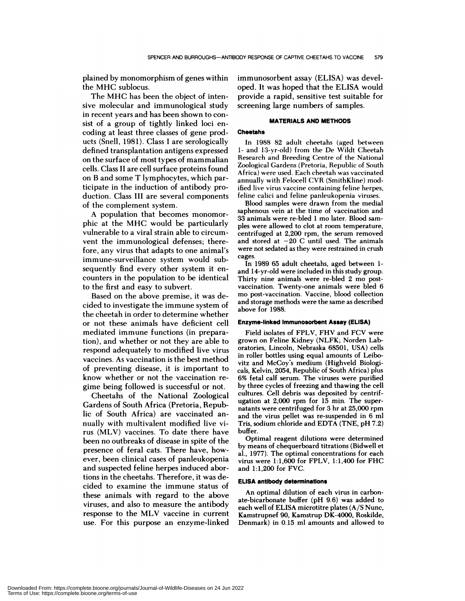plained by monomorphism of genes within the MHC sublocus.

The MHC has been the object of intensive molecular and immunological study in recent years and has been shown to con sist of a group of tightly linked loci encoding at least three classes of gene products (Snell, 1981). Class I are serologically defined transplantation antigens expressed on the surface of most types of mammalian cells. Class II are cell surface proteins found on B and some T lymphocytes, which participate in the induction of antibody production. Class III are several components of the complement system.

A population that becomes monomor phic at the MHC would be particularly vulnerable to a viral strain able to circumvent the immunological defenses; therefore, any virus that adapts to one animal's immune-surveillance system would subsequently find every other system it en counters in the population to be identical to the first and easy to subvert.

Based on the above premise, it was decided to investigate the immune system of the cheetah in order to determine whether or not these animals have deficient cell mediated immune functions (in preparation), and whether or not they are able to respond adequately to modified live virus vaccines. As vaccination is the best method of preventing disease, it is important to know whether or not the vaccination re gime being followed is successful or not.

Cheetahs of the National Zoological Gardens of South Africa (Pretoria, Republic of South Africa) are vaccinated an nually with multivalent modified live virus (MLV) vaccines. To date there have been no outbreaks of disease in spite of the presence of feral cats. There have, however, been clinical cases of panleukopenia and suspected feline herpes induced abortions in the cheetahs. Therefore, it was decided to examine the immune status of these animals with regard to the above viruses, and also to measure the antibody response to the MLV vaccine in current use. For this purpose an enzyme-linked immunosorbent assay (ELISA) was deve! oped. It was hoped that the ELISA would provide a rapid, sensitive test suitable for screening large numbers of samples.

# **MATERIALS AND METHODS**

#### **Cheetahs**

In 1988 82 adult cheetahs (aged between 1- and 13-yr-old) from the De Wildt Cheetah Research and Breeding Centre of the National Zoological Gardens (Pretoria, Republic of South Africa) were used. Each cheetah was vaccinated annually with Felocell CVR (SmithKline) modified live virus vaccine containing feline herpes, feline calici and feline panleukopenia viruses.

Blood samples were drawn from the medial saphenous vein at the time of vaccination and 33 animals were re-bled 1 mo later. Blood sam ples were allowed to clot at room temperature, centrifuged at 2,200 rpm, the serum removed and stored at  $-20$  C until used. The animals were not sedated as they were restrained in crush cages.

In 1989 65 adult cheetahs, aged between 1 and 14-yr-old were included in this study group. Thirty nine animals were re-bled 2 mo postvaccination. Twenty-one animals were bled 6 mo post-vaccination. Vaccine, blood collection and storage methods were the same as described above for 1988.

#### **Enzyme-linked Immunosorbent Assay (ELISA)**

Field isolates of FPLV, FHV and FCV were grown on Feline Kidney (NLFK; Norden Laboratories, Lincoln, Nebraska 68501, USA) cells in roller bottles using equal amounts of Leibovitz and McCoy's medium (Highveld Biologicals, Kelvin, 2054, Republic of South Africa) plus 6% fetal calf serum. The viruses were purified by three cycles of freezing and thawing the cell cultures. Cell debris was deposited by centrifugation at  $2,000$  rpm for  $15$  min. The supernatants were centrifuged for 3 hr at 25,000 rpm and the virus pellet was re-suspended in 6 ml Tris, sodium chloride and EDTA (TNE, pH 7.2) buffer.

Optimal reagent dilutions were determined by means of chequerboard titrations (Bidwell et a!., 1977). The optimal concentrations for each virus were 1:1,600 for FPLV, 1:1,400 for FHC and 1:1,200 for FVC.

#### **ELISA antibody determinations**

An optimal dilution of each virus in carbonate-bicarbonate buffer (pH 9.6) was added to each well of ELISA microtitre plates (A/S Nunc, Kamstrupnef 90, Kamstrup DK-4000, Roskilde, Denmark) in 0.15 ml amounts and allowed to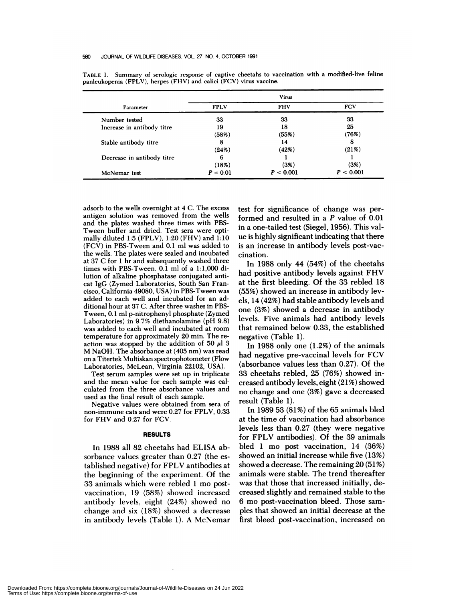| Parameter                  | <b>Virus</b> |            |            |
|----------------------------|--------------|------------|------------|
|                            | <b>FPLV</b>  | <b>FHV</b> | <b>FCV</b> |
| Number tested              | 33           | 33         | 33         |
| Increase in antibody titre | 19           | 18         | 25         |
|                            | (58%)        | (55%)      | (76%)      |
| Stable antibody titre      | 8            | 14         | 8          |
|                            | (24%)        | (42%)      | (21%)      |
| Decrease in antibody titre | 6            |            |            |
|                            | (18%)        | (3%)       | (3%)       |
| McNemar test               | $P = 0.01$   | P < 0.001  | P < 0.001  |

TABLE 1. Summary of serologic response of captive cheetahs to vaccination with a modified-live feline panleukopenia (FPLV), herpes (FHV) and calici (FCV) virus vaccine.

adsorb to the wells overnight at 4 C. The excess antigen solution was removed from the wells and the plates washed three times with PBS-Tween buffer and dried. Test sera were optimally diluted 1:5 (FPLV), 1:20 (FHV) and 1:10 (FCV) in PBS-Tween and 0.1 ml was added to the wells. The plates were sealed and incubated at 37 C for 1 hr and subsequently washed three times with PBS-Tween. 0.1 ml of a 1:1,000 dilution of alkaline phosphatase conjugated anti cat IgG (Zymed Laboratories, South San Francisco, California 49080, USA) in PBS-Tween was added to each well and incubated for an additional hour at 37 C. After three washes in PBS-Tween, 0.1 ml p-nitrophenyl phosphate (Zymed Laboratories) in 9.7% diethanolamine (pH 9.8) was added to each well and incubated at room temperature for approximately 20 min. The reaction was stopped by the addition of 50  $\mu$ l 3 M NaOH. The absorbance at (405 nm) was read on a Titertek Multiskan spectrophotometer (Flow Laboratories, McLean, Virginia 22102, USA).

Test serum samples were set up in triplicate and the mean value for each sample was calculated from the three absorbance values and used as the final result of each sample.

Negative values were obtained from sera of non-immune cats and were 0.27 for FPLV, 0.33 for FHV and 0.27 for FCV.

#### **RESULTS**

In 1988 a!! 82 cheetahs had ELISA absorbance values greater than 0.27 (the established negative) for FPLV antibodies at the beginning of the experiment. Of the 33 animals which were rebled 1 mo postvaccination, 19 (58%) showed increased antibody levels, eight (24%) showed no change and six (18%) showed a decrease in antibody levels (Table 1). A McNemar test for significance of change was performed and resulted in a *P* value of 0.01 in a one-tailed test (Siegel, 1956). This value is highly significant indicating that there is an increase in antibody levels post-vaccination.

In 1988 only 44 (54%) of the cheetahs had positive antibody levels against FHV at the first bleeding. Of the 33 rebled 18 (55%) showed an increase in antibody levels, 14 (42%) had stable antibody levels and one (3%) showed a decrease in antibody levels. Five animals had antibody levels that remained below 0.33, the established negative (Table 1).

In 1988 only one (1.2%) of the animals had negative pre-vaccinal levels for FCV (absorbance values less than 0.27). Of the 33 cheetahs rebled, 25 (76%) showed increased antibody levels, eight (21%) showed no change and one (3%) gave a decreased result (Table 1).

In 1989 53 (81%) of the 65 animals bled at the time of vaccination had absorbance levels less than 0.27 (they were negative for FPLV antibodies). Of the 39 animals bled 1 mo post vaccination, 14 (36%) showed an initial increase while five (13%) showed a decrease. The remaining  $20(51%)$ animals were stable. The trend thereafter was that those that increased initially, decreased slightly and remained stable to the 6 mo post-vaccination bleed. Those sam ples that showed an initial decrease at the first bleed post-vaccination, increased on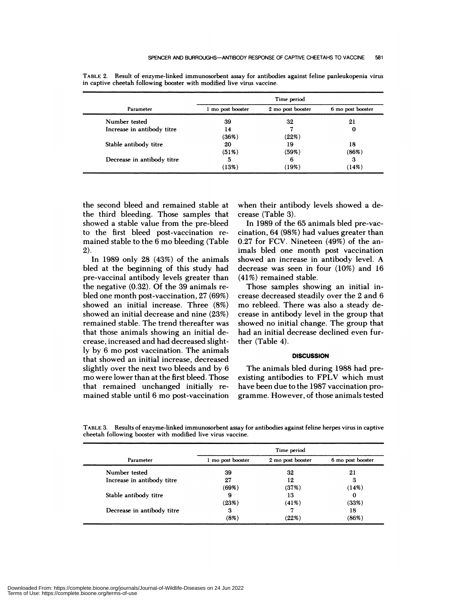| Parameter                  | Time period       |                   |                   |
|----------------------------|-------------------|-------------------|-------------------|
|                            | 1 mo post booster | 2 mo post booster | 6 mo post booster |
| Number tested              | 39                | 32                | 21                |
| Increase in antibody titre | 14                |                   | 0                 |
|                            | (36%)             | (22%)             |                   |
| Stable antibody titre      | 20                | 19                | 18                |
|                            | (51%)             | (59%)             | (86%)             |
| Decrease in antibody titre | 5                 | 6                 | З                 |
|                            | (13%)             | (19%)             | (14%)             |

TABLE 2. Result of enzyme-linked immunosorbent assay for antibodies against feline panleukopenia virus in captive cheetah following booster with modified live virus vaccine.

the second bleed and remained stable at the third bleeding. Those samples that showed a stable value from the pre-bleed to the first bleed post-vaccination re mained stable to the 6 mo bleeding (Table 2).

In 1989 only 28 (43%) of the animals bled at the beginning of this study had pre-vaccinal antibody levels greater than the negative (0.32). Of the 39 animals re bled one month post-vaccination, 27 (69%) showed an initial increase. Three (8%) showed an initial decrease and nine (23%) remained stable. The trend thereafter was that those animals showing an initial de crease, increased and had decreased slightly by 6 mo post vaccination. The animals that showed an initial increase, decreased slightly over the next two bleeds and by 6 mo were lower than at the first bleed. Those that remained unchanged initially re mained stable until 6 mo post-vaccination when their antibody levels showed a de crease (Table 3).

In 1989 of the 65 animals bled pre-vaccination, 64 (98%) had values greater than 0.27 for FCV. Nineteen (49%) of the animals bled one month post vaccination showed an increase in antibody level. A decrease was seen in four (10%) and 16 (41%) remained stable.

Those samples showing an initial in crease decreased steadily over the 2 and 6 mo rebleed. There was also a steady de crease in antibody level in the group that showed no initial change. The group that had an initial decrease declined even further (Table 4).

## **DISCUSSION**

The animals bled during 1988 had preexisting antibodies to FPLV which must have been due to the 1987 vaccination programme. However, of those animals tested

| Parameter                  | Time period       |                   |                   |
|----------------------------|-------------------|-------------------|-------------------|
|                            | 1 mo post booster | 2 mo post booster | 6 mo post booster |
| Number tested              | 39                | 32                | 21                |
| Increase in antibody titre | 27                | 12                |                   |
|                            | (69%)             | (37%)             | (14%)             |
| Stable antibody titre      | 9                 | 13                |                   |
|                            | (23%)             | $(41\%)$          | (33%)             |
| Decrease in antibody titre | З                 |                   | 18                |
|                            | (8%)              | (22%)             | (86%)             |

TABLE 3. Results of enzyme-linked immunosorbent assay for antibodies against feline herpes virus in captive cheetah following booster with modified live virus vaccine.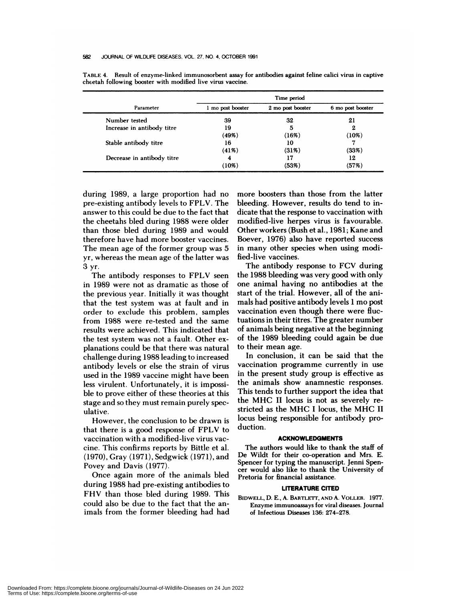| Parameter                  | Time period       |                   |                   |
|----------------------------|-------------------|-------------------|-------------------|
|                            | 1 mo post booster | 2 mo post booster | 6 mo post booster |
| Number tested              | 39                | 32                | 21                |
| Increase in antibody titre | 19                | 5                 | 2                 |
|                            | (49%)             | (16%)             | (10%)             |
| Stable antibody titre      | 16                | 10                |                   |
|                            | $(41\%)$          | (31%)             | (33%)             |
| Decrease in antibody titre | 4                 | 17                | 12                |
|                            | (10%)             | (53%)             | (57%)             |

**TABLE** 4. Result of enzyme-linked immunosorbent assay for antibodies against feline calici virus in captive cheetah following booster with modified live virus vaccine.

during 1989, a large proportion had no pre-existing antibody levels to FPLV. The answer to this could be due to the fact that the cheetahs bled during 1988 were older than those bled during 1989 and would therefore have had more booster vaccines. The mean age of the former group was 5 yr, whereas the mean age of the latter was 3 yr.

The antibody responses to FPLV seen in 1989 were not as dramatic as those of the previous year. Initially it was thought that the test system was at fault and in order to exclude this problem, samples from 1988 were re-tested and the same results were achieved. This indicated that the test system was not a fault. Other ex planations could be that there was natural challenge during 1988 leading to increased antibody levels or else the strain of virus used in the 1989 vaccine might have been less virulent. Unfortunately, it is impossible to prove either of these theories at this stage and so they must remain purely speculative.

However, the conclusion to be drawn is that there is a good response of FPLV to vaccination with a modified-live virus vac cine. This confirms reports by Bittle et a!. (1970), Gray (1971), Sedgwick (1971), and Povey and Davis (1977).

Once again more of the animals bled during 1988 had pre-existing antibodies to FHV than those bled during 1989. This could also be due to the fact that the animals from the former bleeding had had more boosters than those from the latter bleeding. However, results do tend to indicate that the response to vaccination with modified-live herpes virus is favourable. Other workers (Bush et al., 1981; Kane and Boever, 1976) also have reported success in many other species when using modified-live vaccines.

The antibody response to FCV during the 1988 bleeding was very good with only one animal having no antibodies at the start of the trial. However, all of the animals had positive antibody levels 1 mo post vaccination even though there were fluctuations in their titres. The greater number of animals being negative at the beginning of the 1989 bleeding could again be due to their mean age.

In conclusion, it can be said that the vaccination programme currently in use in the present study group is effective as the animals show anamnestic responses. This tends to further support the idea that the MHC II locus is not as severely re stricted as the MHC I locus, the MHC II locus being responsible for antibody production.

#### **ACKNOWLEDGMENTS**

The authors would like to thank the staff of De Wildt for their co-operation and Mrs. E. Spencer for typing the manuscript. Jenni Spen cer would also like to thank the University of Pretoria for financial assistance.

### **LITERATURE CITED**

BIDWELL, D. E., A. BARTLETT, **AND** A. VOLLER. 1977. Enzyme immunoassays for viral diseases. Journal of Infectious Diseases 136: 274-278.